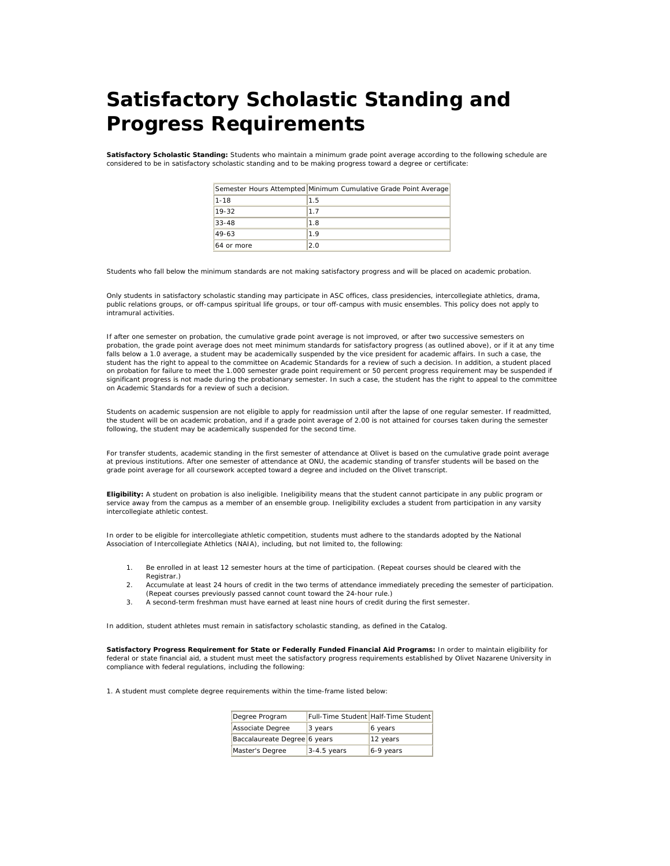## **Satisfactory Scholastic Standing and Progress Requirements**

**Satisfactory Scholastic Standing:** Students who maintain a minimum grade point average according to the following schedule are considered to be in satisfactory scholastic standing and to be making progress toward a degree or certificate:

|            | Semester Hours Attempted Minimum Cumulative Grade Point Average |
|------------|-----------------------------------------------------------------|
| $1 - 18$   | 1.5                                                             |
| $19 - 32$  | 1.7                                                             |
| $33 - 48$  | 1.8                                                             |
| $49-63$    | 19                                                              |
| 64 or more | 2.0                                                             |

Students who fall below the minimum standards are not making satisfactory progress and will be placed on academic probation.

Only students in satisfactory scholastic standing may participate in ASC offices, class presidencies, intercollegiate athletics, drama, public relations groups, or off-campus spiritual life groups, or tour off-campus with music ensembles. This policy does not apply to intramural activities.

If after one semester on probation, the cumulative grade point average is not improved, or after two successive semesters on probation, the grade point average does not meet minimum standards for satisfactory progress (as outlined above), or if it at any time falls below a 1.0 average, a student may be academically suspended by the vice president for academic affairs. In such a case, the student has the right to appeal to the committee on Academic Standards for a review of such a decision. In addition, a student placed on probation for failure to meet the 1.000 semester grade point requirement or 50 percent progress requirement may be suspended if significant progress is not made during the probationary semester. In such a case, the student has the right to appeal to the committee on Academic Standards for a review of such a decision.

Students on academic suspension are not eligible to apply for readmission until after the lapse of one regular semester. If readmitted, the student will be on academic probation, and if a grade point average of 2.00 is not attained for courses taken during the semester following, the student may be academically suspended for the second time.

For transfer students, academic standing in the first semester of attendance at Olivet is based on the cumulative grade point average at previous institutions. After one semester of attendance at ONU, the academic standing of transfer students will be based on the grade point average for all coursework accepted toward a degree and included on the Olivet transcript.

**Eligibility:** A student on probation is also ineligible. Ineligibility means that the student cannot participate in any public program or service away from the campus as a member of an ensemble group. Ineligibility excludes a student from participation in any varsity intercollegiate athletic contest.

In order to be eligible for intercollegiate athletic competition, students must adhere to the standards adopted by the National Association of Intercollegiate Athletics (NAIA), including, but not limited to, the following:

- 1. Be enrolled in at least 12 semester hours at the time of participation. (Repeat courses should be cleared with the Registrar.)
- 2. Accumulate at least 24 hours of credit in the two terms of attendance immediately preceding the semester of participation. (Repeat courses previously passed cannot count toward the 24-hour rule.)
- 3. A second-term freshman must have earned at least nine hours of credit during the first semester.

In addition, student athletes must remain in satisfactory scholastic standing, as defined in the *Catalog*.

**Satisfactory Progress Requirement for State or Federally Funded Financial Aid Programs:** In order to maintain eligibility for federal or state financial aid, a student must meet the satisfactory progress requirements established by Olivet Nazarene University in compliance with federal regulations, including the following:

1. A student must complete degree requirements within the time-frame listed below:

| Degree Program               |               | Full-Time Student Half-Time Student |
|------------------------------|---------------|-------------------------------------|
| Associate Degree             | 3 years       | 6 years                             |
| Baccalaureate Degree 6 years |               | 12 years                            |
| Master's Degree              | $3-4.5$ years | 6-9 years                           |